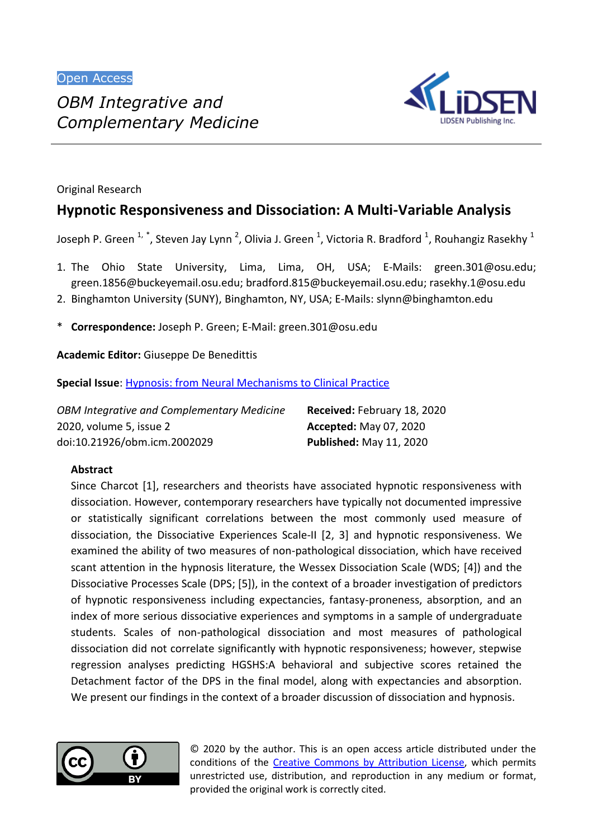

Original Research

# **Hypnotic Responsiveness and Dissociation: A Multi-Variable Analysis**

Joseph P. Green  $^{1, \, *}$ , Steven Jay Lynn <sup>2</sup>, Olivia J. Green <sup>1</sup>, Victoria R. Bradford <sup>1</sup>, Rouhangiz Rasekhy <sup>1</sup>

- 1. The Ohio State University, Lima, Lima, OH, USA; E-Mails: green.301@osu.edu; green.1856@buckeyemail.osu.edu; bradford.815@buckeyemail.osu.edu; rasekhy.1@osu.edu
- 2. Binghamton University (SUNY), Binghamton, NY, USA; E-Mails: slynn@binghamton.edu
- \* **Correspondence:** Joseph P. Green; E-Mail: green.301@osu.edu

**Academic Editor:** Giuseppe De Benedittis

**Special Issue**: **Hypnosis: from Neural Mechanisms to Clinical Practice** 

| <b>OBM Integrative and Complementary Medicine</b> | Received: February 18, 2020    |
|---------------------------------------------------|--------------------------------|
| 2020, volume 5, issue 2                           | <b>Accepted: May 07, 2020</b>  |
| doi:10.21926/obm.icm.2002029                      | <b>Published: May 11, 2020</b> |

# **Abstract**

Since Charcot [1], researchers and theorists have associated hypnotic responsiveness with dissociation. However, contemporary researchers have typically not documented impressive or statistically significant correlations between the most commonly used measure of dissociation, the Dissociative Experiences Scale-II [2, 3] and hypnotic responsiveness. We examined the ability of two measures of non-pathological dissociation, which have received scant attention in the hypnosis literature, the Wessex Dissociation Scale (WDS; [4]) and the Dissociative Processes Scale (DPS; [5]), in the context of a broader investigation of predictors of hypnotic responsiveness including expectancies, fantasy-proneness, absorption, and an index of more serious dissociative experiences and symptoms in a sample of undergraduate students. Scales of non-pathological dissociation and most measures of pathological dissociation did not correlate significantly with hypnotic responsiveness; however, stepwise regression analyses predicting HGSHS:A behavioral and subjective scores retained the Detachment factor of the DPS in the final model, along with expectancies and absorption. We present our findings in the context of a broader discussion of dissociation and hypnosis.



© 2020 by the author. This is an open access article distributed under the conditions of the Creative Commons by Attribution License, which permits unrestricted use, distribution, and reproduction in any medium or format, provided the original work is correctly cited.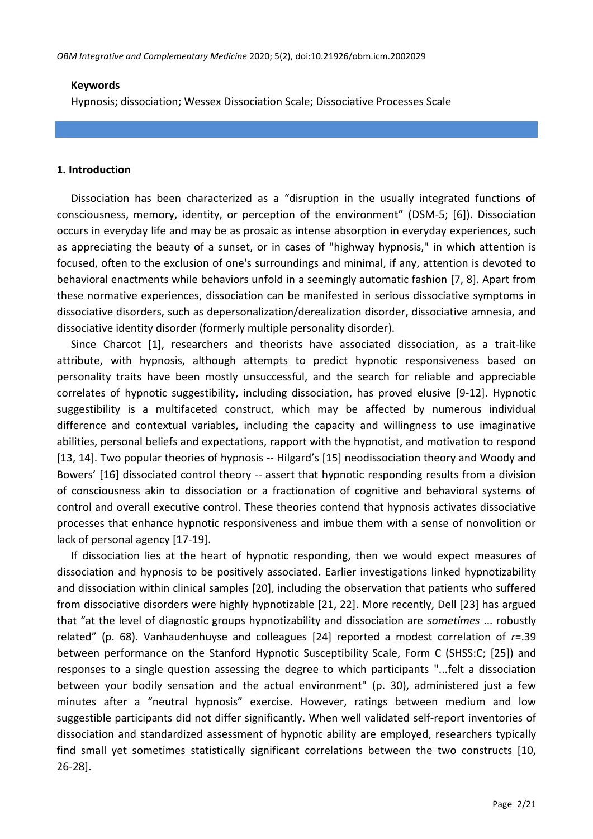### **Keywords**

Hypnosis; dissociation; Wessex Dissociation Scale; Dissociative Processes Scale

### **1. Introduction**

Dissociation has been characterized as a "disruption in the usually integrated functions of consciousness, memory, identity, or perception of the environment" (DSM-5; [6]). Dissociation occurs in everyday life and may be as prosaic as intense absorption in everyday experiences, such as appreciating the beauty of a sunset, or in cases of "highway hypnosis," in which attention is focused, often to the exclusion of one's surroundings and minimal, if any, attention is devoted to behavioral enactments while behaviors unfold in a seemingly automatic fashion [7, 8]. Apart from these normative experiences, dissociation can be manifested in serious dissociative symptoms in dissociative disorders, such as depersonalization/derealization disorder, dissociative amnesia, and dissociative identity disorder (formerly multiple personality disorder).

Since Charcot [1], researchers and theorists have associated dissociation, as a trait-like attribute, with hypnosis, although attempts to predict hypnotic responsiveness based on personality traits have been mostly unsuccessful, and the search for reliable and appreciable correlates of hypnotic suggestibility, including dissociation, has proved elusive [9-12]. Hypnotic suggestibility is a multifaceted construct, which may be affected by numerous individual difference and contextual variables, including the capacity and willingness to use imaginative abilities, personal beliefs and expectations, rapport with the hypnotist, and motivation to respond [13, 14]. Two popular theories of hypnosis -- Hilgard's [15] neodissociation theory and Woody and Bowers' [16] dissociated control theory -- assert that hypnotic responding results from a division of consciousness akin to dissociation or a fractionation of cognitive and behavioral systems of control and overall executive control. These theories contend that hypnosis activates dissociative processes that enhance hypnotic responsiveness and imbue them with a sense of nonvolition or lack of personal agency [17-19].

If dissociation lies at the heart of hypnotic responding, then we would expect measures of dissociation and hypnosis to be positively associated. Earlier investigations linked hypnotizability and dissociation within clinical samples [20], including the observation that patients who suffered from dissociative disorders were highly hypnotizable [21, 22]. More recently, Dell [23] has argued that "at the level of diagnostic groups hypnotizability and dissociation are *sometimes* ... robustly related" (p. 68). Vanhaudenhuyse and colleagues [24] reported a modest correlation of *r*=.39 between performance on the Stanford Hypnotic Susceptibility Scale, Form C (SHSS:C; [25]) and responses to a single question assessing the degree to which participants "...felt a dissociation between your bodily sensation and the actual environment" (p. 30), administered just a few minutes after a "neutral hypnosis" exercise. However, ratings between medium and low suggestible participants did not differ significantly. When well validated self-report inventories of dissociation and standardized assessment of hypnotic ability are employed, researchers typically find small yet sometimes statistically significant correlations between the two constructs [10, 26-28].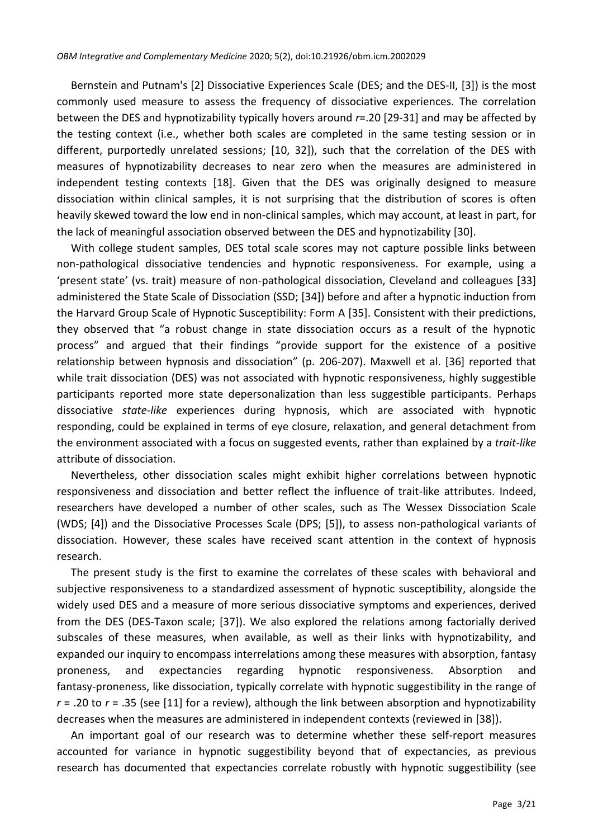Bernstein and Putnam's [2] Dissociative Experiences Scale (DES; and the DES-II, [3]) is the most commonly used measure to assess the frequency of dissociative experiences. The correlation between the DES and hypnotizability typically hovers around *r*=.20 [29-31] and may be affected by the testing context (i.e., whether both scales are completed in the same testing session or in different, purportedly unrelated sessions; [10, 32]), such that the correlation of the DES with measures of hypnotizability decreases to near zero when the measures are administered in independent testing contexts [18]. Given that the DES was originally designed to measure dissociation within clinical samples, it is not surprising that the distribution of scores is often heavily skewed toward the low end in non-clinical samples, which may account, at least in part, for the lack of meaningful association observed between the DES and hypnotizability [30].

With college student samples, DES total scale scores may not capture possible links between non-pathological dissociative tendencies and hypnotic responsiveness. For example, using a 'present state' (vs. trait) measure of non-pathological dissociation, Cleveland and colleagues [33] administered the State Scale of Dissociation (SSD; [34]) before and after a hypnotic induction from the Harvard Group Scale of Hypnotic Susceptibility: Form A [35]. Consistent with their predictions, they observed that "a robust change in state dissociation occurs as a result of the hypnotic process" and argued that their findings "provide support for the existence of a positive relationship between hypnosis and dissociation" (p. 206-207). Maxwell et al. [36] reported that while trait dissociation (DES) was not associated with hypnotic responsiveness, highly suggestible participants reported more state depersonalization than less suggestible participants. Perhaps dissociative *state-like* experiences during hypnosis, which are associated with hypnotic responding, could be explained in terms of eye closure, relaxation, and general detachment from the environment associated with a focus on suggested events, rather than explained by a *trait-like* attribute of dissociation.

Nevertheless, other dissociation scales might exhibit higher correlations between hypnotic responsiveness and dissociation and better reflect the influence of trait-like attributes. Indeed, researchers have developed a number of other scales, such as The Wessex Dissociation Scale (WDS; [4]) and the Dissociative Processes Scale (DPS; [5]), to assess non-pathological variants of dissociation. However, these scales have received scant attention in the context of hypnosis research.

The present study is the first to examine the correlates of these scales with behavioral and subjective responsiveness to a standardized assessment of hypnotic susceptibility, alongside the widely used DES and a measure of more serious dissociative symptoms and experiences, derived from the DES (DES-Taxon scale; [37]). We also explored the relations among factorially derived subscales of these measures, when available, as well as their links with hypnotizability, and expanded our inquiry to encompass interrelations among these measures with absorption, fantasy proneness, and expectancies regarding hypnotic responsiveness. Absorption and fantasy-proneness, like dissociation, typically correlate with hypnotic suggestibility in the range of  $r = .20$  to  $r = .35$  (see [11] for a review), although the link between absorption and hypnotizability decreases when the measures are administered in independent contexts (reviewed in [38]).

An important goal of our research was to determine whether these self-report measures accounted for variance in hypnotic suggestibility beyond that of expectancies, as previous research has documented that expectancies correlate robustly with hypnotic suggestibility (see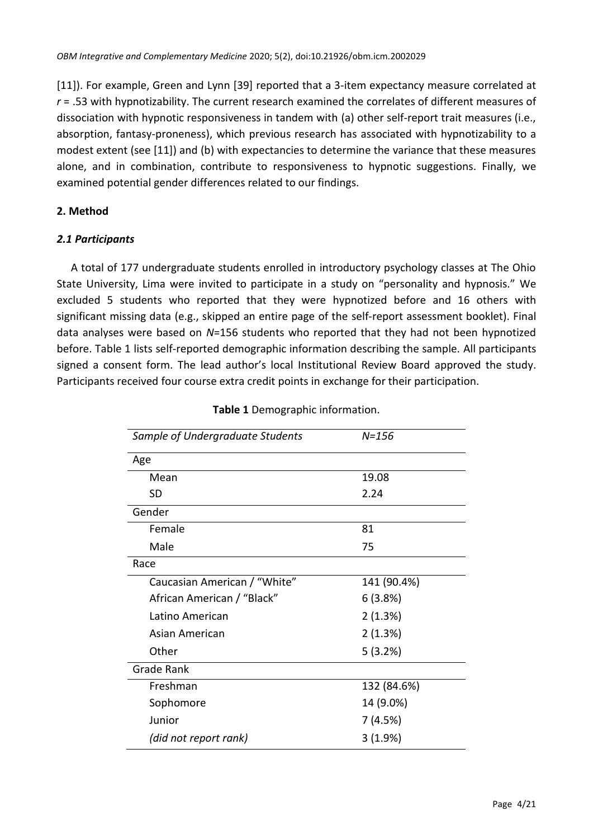[11]). For example, Green and Lynn [39] reported that a 3-item expectancy measure correlated at *r* = .53 with hypnotizability. The current research examined the correlates of different measures of dissociation with hypnotic responsiveness in tandem with (a) other self-report trait measures (i.e., absorption, fantasy-proneness), which previous research has associated with hypnotizability to a modest extent (see [11]) and (b) with expectancies to determine the variance that these measures alone, and in combination, contribute to responsiveness to hypnotic suggestions. Finally, we examined potential gender differences related to our findings.

# **2. Method**

# *2.1 Participants*

A total of 177 undergraduate students enrolled in introductory psychology classes at The Ohio State University, Lima were invited to participate in a study on "personality and hypnosis." We excluded 5 students who reported that they were hypnotized before and 16 others with significant missing data (e.g., skipped an entire page of the self-report assessment booklet). Final data analyses were based on *N*=156 students who reported that they had not been hypnotized before. Table 1 lists self-reported demographic information describing the sample. All participants signed a consent form. The lead author's local Institutional Review Board approved the study. Participants received four course extra credit points in exchange for their participation.

| Sample of Undergraduate Students | $N = 156$   |  |  |  |  |  |
|----------------------------------|-------------|--|--|--|--|--|
| Age                              |             |  |  |  |  |  |
| Mean                             | 19.08       |  |  |  |  |  |
| <b>SD</b>                        | 2.24        |  |  |  |  |  |
| Gender                           |             |  |  |  |  |  |
| Female                           | 81          |  |  |  |  |  |
| Male                             | 75          |  |  |  |  |  |
| Race                             |             |  |  |  |  |  |
| Caucasian American / "White"     | 141 (90.4%) |  |  |  |  |  |
| African American / "Black"       | 6(3.8%)     |  |  |  |  |  |
| Latino American                  | 2(1.3%)     |  |  |  |  |  |
| Asian American                   | 2(1.3%)     |  |  |  |  |  |
| Other                            | 5 (3.2%)    |  |  |  |  |  |
| <b>Grade Rank</b>                |             |  |  |  |  |  |
| Freshman                         | 132 (84.6%) |  |  |  |  |  |
| Sophomore                        | 14 (9.0%)   |  |  |  |  |  |
| Junior                           | 7 (4.5%)    |  |  |  |  |  |
| (did not report rank)            | 3(1.9%)     |  |  |  |  |  |

# **Table 1** Demographic information.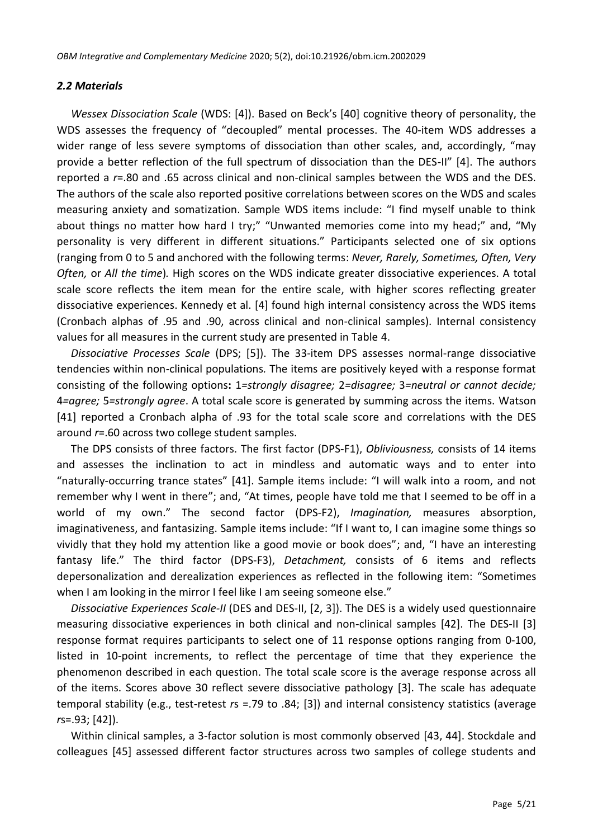# *2.2 Materials*

*Wessex Dissociation Scale* (WDS: [4]). Based on Beck's [40] cognitive theory of personality, the WDS assesses the frequency of "decoupled" mental processes. The 40-item WDS addresses a wider range of less severe symptoms of dissociation than other scales, and, accordingly, "may provide a better reflection of the full spectrum of dissociation than the DES-II" [4]. The authors reported a *r*=.80 and .65 across clinical and non-clinical samples between the WDS and the DES. The authors of the scale also reported positive correlations between scores on the WDS and scales measuring anxiety and somatization. Sample WDS items include: "I find myself unable to think about things no matter how hard I try;" "Unwanted memories come into my head;" and, "My personality is very different in different situations." Participants selected one of six options (ranging from 0 to 5 and anchored with the following terms: *Never, Rarely, Sometimes, Often, Very Often,* or *All the time*)*.* High scores on the WDS indicate greater dissociative experiences. A total scale score reflects the item mean for the entire scale, with higher scores reflecting greater dissociative experiences. Kennedy et al. [4] found high internal consistency across the WDS items (Cronbach alphas of .95 and .90, across clinical and non-clinical samples). Internal consistency values for all measures in the current study are presented in Table 4.

*Dissociative Processes Scale* (DPS; [5]). The 33-item DPS assesses normal-range dissociative tendencies within non-clinical populations*.* The items are positively keyed with a response format consisting of the following options**:** 1*=strongly disagree;* 2*=disagree;* 3*=neutral or cannot decide;*  4*=agree;* 5*=strongly agree*. A total scale score is generated by summing across the items. Watson [41] reported a Cronbach alpha of .93 for the total scale score and correlations with the DES around *r*=.60 across two college student samples.

The DPS consists of three factors. The first factor (DPS-F1), *Obliviousness,* consists of 14 items and assesses the inclination to act in mindless and automatic ways and to enter into "naturally-occurring trance states" [41]. Sample items include: "I will walk into a room, and not remember why I went in there"; and, "At times, people have told me that I seemed to be off in a world of my own." The second factor (DPS-F2), *Imagination,* measures absorption, imaginativeness, and fantasizing. Sample items include: "If I want to, I can imagine some things so vividly that they hold my attention like a good movie or book does"; and, "I have an interesting fantasy life." The third factor (DPS-F3), *Detachment,* consists of 6 items and reflects depersonalization and derealization experiences as reflected in the following item: "Sometimes when I am looking in the mirror I feel like I am seeing someone else."

*Dissociative Experiences Scale-II* (DES and DES-II, [2, 3]). The DES is a widely used questionnaire measuring dissociative experiences in both clinical and non-clinical samples [42]. The DES-II [3] response format requires participants to select one of 11 response options ranging from 0-100, listed in 10-point increments, to reflect the percentage of time that they experience the phenomenon described in each question. The total scale score is the average response across all of the items. Scores above 30 reflect severe dissociative pathology [3]. The scale has adequate temporal stability (e.g., test-retest *r*s =.79 to .84; [3]) and internal consistency statistics (average *r*s=.93; [42]).

Within clinical samples, a 3-factor solution is most commonly observed [43, 44]. Stockdale and colleagues [45] assessed different factor structures across two samples of college students and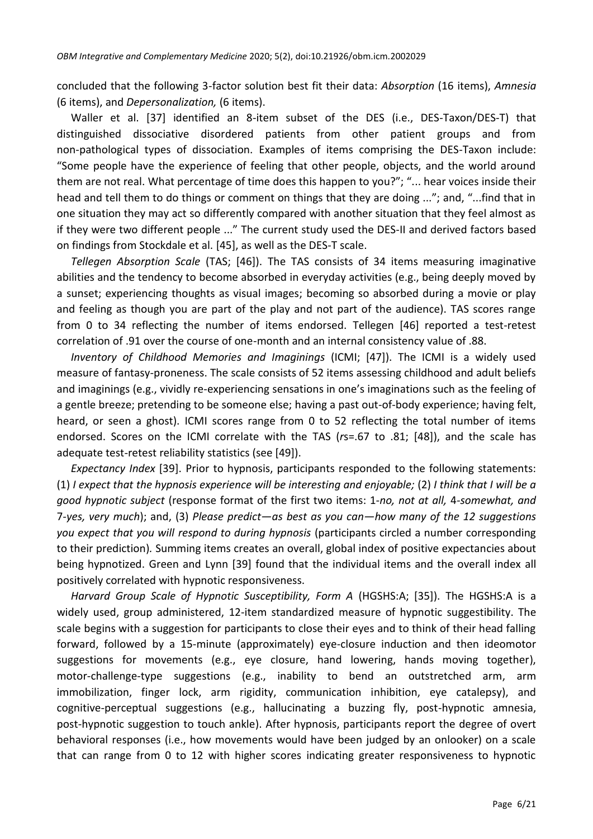concluded that the following 3-factor solution best fit their data: *Absorption* (16 items), *Amnesia*  (6 items), and *Depersonalization,* (6 items).

Waller et al. [37] identified an 8-item subset of the DES (i.e., DES-Taxon/DES-T) that distinguished dissociative disordered patients from other patient groups and from non-pathological types of dissociation. Examples of items comprising the DES-Taxon include: "Some people have the experience of feeling that other people, objects, and the world around them are not real. What percentage of time does this happen to you?"; "... hear voices inside their head and tell them to do things or comment on things that they are doing ..."; and, "...find that in one situation they may act so differently compared with another situation that they feel almost as if they were two different people ..." The current study used the DES-II and derived factors based on findings from Stockdale et al. [45], as well as the DES-T scale.

*Tellegen Absorption Scale* (TAS; [46]). The TAS consists of 34 items measuring imaginative abilities and the tendency to become absorbed in everyday activities (e.g., being deeply moved by a sunset; experiencing thoughts as visual images; becoming so absorbed during a movie or play and feeling as though you are part of the play and not part of the audience). TAS scores range from 0 to 34 reflecting the number of items endorsed. Tellegen [46] reported a test-retest correlation of .91 over the course of one-month and an internal consistency value of .88.

*Inventory of Childhood Memories and Imaginings* (ICMI; [47]). The ICMI is a widely used measure of fantasy-proneness. The scale consists of 52 items assessing childhood and adult beliefs and imaginings (e.g., vividly re-experiencing sensations in one's imaginations such as the feeling of a gentle breeze; pretending to be someone else; having a past out-of-body experience; having felt, heard, or seen a ghost). ICMI scores range from 0 to 52 reflecting the total number of items endorsed. Scores on the ICMI correlate with the TAS (*r*s=.67 to .81; [48]), and the scale has adequate test-retest reliability statistics (see [49]).

*Expectancy Index* [39]. Prior to hypnosis, participants responded to the following statements: (1) *I expect that the hypnosis experience will be interesting and enjoyable;* (2) *I think that I will be a good hypnotic subject* (response format of the first two items: 1*-no, not at all,* 4*-somewhat, and*  7*-yes, very much*); and, (3) *Please predict—as best as you can—how many of the 12 suggestions you expect that you will respond to during hypnosis* (participants circled a number corresponding to their prediction)*.* Summing items creates an overall, global index of positive expectancies about being hypnotized. Green and Lynn [39] found that the individual items and the overall index all positively correlated with hypnotic responsiveness.

*Harvard Group Scale of Hypnotic Susceptibility, Form A* (HGSHS:A; [35]). The HGSHS:A is a widely used, group administered, 12-item standardized measure of hypnotic suggestibility. The scale begins with a suggestion for participants to close their eyes and to think of their head falling forward, followed by a 15-minute (approximately) eye-closure induction and then ideomotor suggestions for movements (e.g., eye closure, hand lowering, hands moving together), motor-challenge-type suggestions (e.g., inability to bend an outstretched arm, arm immobilization, finger lock, arm rigidity, communication inhibition, eye catalepsy), and cognitive-perceptual suggestions (e.g., hallucinating a buzzing fly, post-hypnotic amnesia, post-hypnotic suggestion to touch ankle). After hypnosis, participants report the degree of overt behavioral responses (i.e., how movements would have been judged by an onlooker) on a scale that can range from 0 to 12 with higher scores indicating greater responsiveness to hypnotic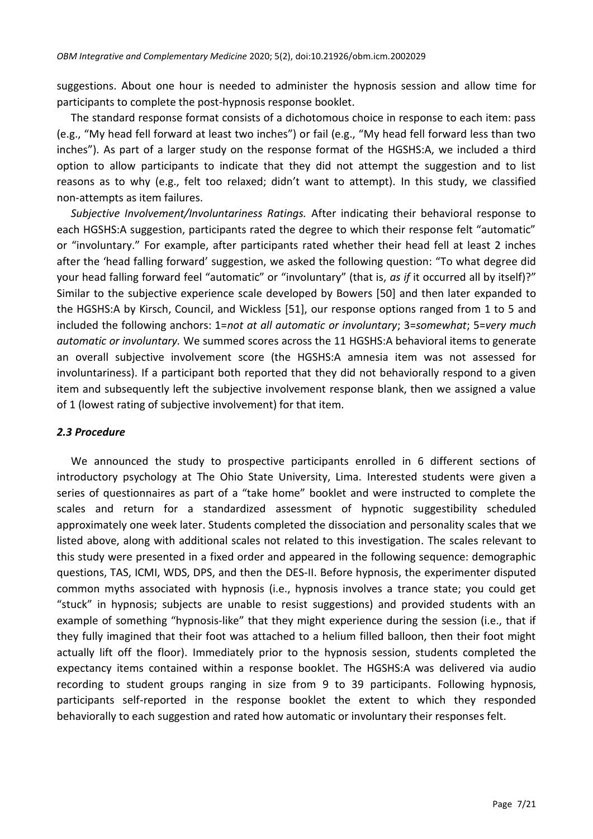suggestions. About one hour is needed to administer the hypnosis session and allow time for participants to complete the post-hypnosis response booklet.

The standard response format consists of a dichotomous choice in response to each item: pass (e.g., "My head fell forward at least two inches") or fail (e.g., "My head fell forward less than two inches"). As part of a larger study on the response format of the HGSHS:A, we included a third option to allow participants to indicate that they did not attempt the suggestion and to list reasons as to why (e.g., felt too relaxed; didn't want to attempt). In this study, we classified non-attempts as item failures.

*Subjective Involvement/Involuntariness Ratings.* After indicating their behavioral response to each HGSHS:A suggestion, participants rated the degree to which their response felt "automatic" or "involuntary." For example, after participants rated whether their head fell at least 2 inches after the 'head falling forward' suggestion, we asked the following question: "To what degree did your head falling forward feel "automatic" or "involuntary" (that is, *as if* it occurred all by itself)?" Similar to the subjective experience scale developed by Bowers [50] and then later expanded to the HGSHS:A by Kirsch, Council, and Wickless [51], our response options ranged from 1 to 5 and included the following anchors: 1=*not at all automatic or involuntary*; 3=*somewhat*; 5=*very much automatic or involuntary.* We summed scores across the 11 HGSHS:A behavioral items to generate an overall subjective involvement score (the HGSHS:A amnesia item was not assessed for involuntariness). If a participant both reported that they did not behaviorally respond to a given item and subsequently left the subjective involvement response blank, then we assigned a value of 1 (lowest rating of subjective involvement) for that item.

#### *2.3 Procedure*

We announced the study to prospective participants enrolled in 6 different sections of introductory psychology at The Ohio State University, Lima. Interested students were given a series of questionnaires as part of a "take home" booklet and were instructed to complete the scales and return for a standardized assessment of hypnotic suggestibility scheduled approximately one week later. Students completed the dissociation and personality scales that we listed above, along with additional scales not related to this investigation. The scales relevant to this study were presented in a fixed order and appeared in the following sequence: demographic questions, TAS, ICMI, WDS, DPS, and then the DES-II. Before hypnosis, the experimenter disputed common myths associated with hypnosis (i.e., hypnosis involves a trance state; you could get "stuck" in hypnosis; subjects are unable to resist suggestions) and provided students with an example of something "hypnosis-like" that they might experience during the session (i.e., that if they fully imagined that their foot was attached to a helium filled balloon, then their foot might actually lift off the floor). Immediately prior to the hypnosis session, students completed the expectancy items contained within a response booklet. The HGSHS:A was delivered via audio recording to student groups ranging in size from 9 to 39 participants. Following hypnosis, participants self-reported in the response booklet the extent to which they responded behaviorally to each suggestion and rated how automatic or involuntary their responses felt.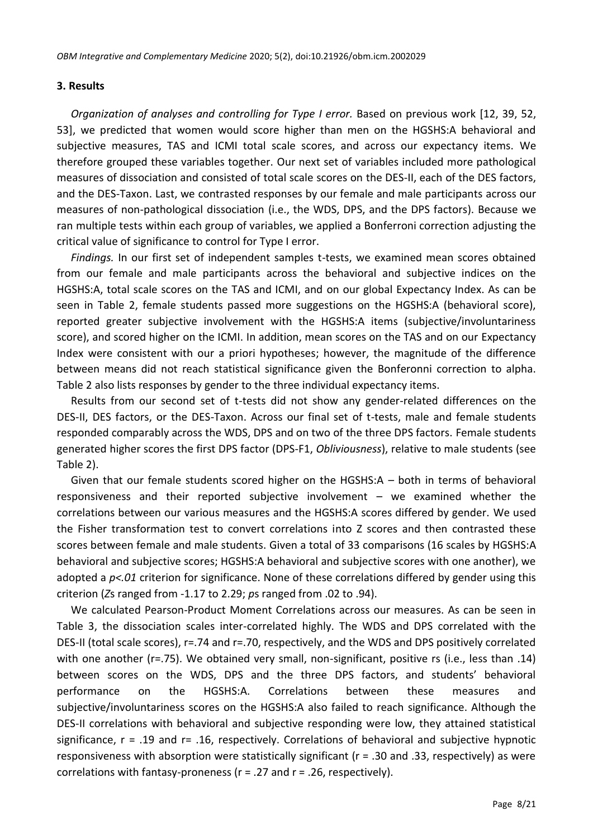#### **3. Results**

*Organization of analyses and controlling for Type I error.* Based on previous work [12, 39, 52, 53], we predicted that women would score higher than men on the HGSHS:A behavioral and subjective measures, TAS and ICMI total scale scores, and across our expectancy items. We therefore grouped these variables together. Our next set of variables included more pathological measures of dissociation and consisted of total scale scores on the DES-II, each of the DES factors, and the DES-Taxon. Last, we contrasted responses by our female and male participants across our measures of non-pathological dissociation (i.e., the WDS, DPS, and the DPS factors). Because we ran multiple tests within each group of variables, we applied a Bonferroni correction adjusting the critical value of significance to control for Type I error.

*Findings.* In our first set of independent samples t-tests, we examined mean scores obtained from our female and male participants across the behavioral and subjective indices on the HGSHS:A, total scale scores on the TAS and ICMI, and on our global Expectancy Index. As can be seen in Table 2, female students passed more suggestions on the HGSHS:A (behavioral score), reported greater subjective involvement with the HGSHS:A items (subjective/involuntariness score), and scored higher on the ICMI. In addition, mean scores on the TAS and on our Expectancy Index were consistent with our a priori hypotheses; however, the magnitude of the difference between means did not reach statistical significance given the Bonferonni correction to alpha. Table 2 also lists responses by gender to the three individual expectancy items.

Results from our second set of t-tests did not show any gender-related differences on the DES-II, DES factors, or the DES-Taxon. Across our final set of t-tests, male and female students responded comparably across the WDS, DPS and on two of the three DPS factors. Female students generated higher scores the first DPS factor (DPS-F1, *Obliviousness*), relative to male students (see Table 2).

Given that our female students scored higher on the HGSHS:A – both in terms of behavioral responsiveness and their reported subjective involvement – we examined whether the correlations between our various measures and the HGSHS:A scores differed by gender. We used the Fisher transformation test to convert correlations into Z scores and then contrasted these scores between female and male students. Given a total of 33 comparisons (16 scales by HGSHS:A behavioral and subjective scores; HGSHS:A behavioral and subjective scores with one another), we adopted a *p<.01* criterion for significance. None of these correlations differed by gender using this criterion (*Z*s ranged from -1.17 to 2.29; *p*s ranged from .02 to .94).

We calculated Pearson-Product Moment Correlations across our measures. As can be seen in Table 3, the dissociation scales inter-correlated highly. The WDS and DPS correlated with the DES-II (total scale scores), r=.74 and r=.70, respectively, and the WDS and DPS positively correlated with one another (r=.75). We obtained very small, non-significant, positive rs (i.e., less than .14) between scores on the WDS, DPS and the three DPS factors, and students' behavioral performance on the HGSHS:A. Correlations between these measures and subjective/involuntariness scores on the HGSHS:A also failed to reach significance. Although the DES-II correlations with behavioral and subjective responding were low, they attained statistical significance,  $r = .19$  and  $r = .16$ , respectively. Correlations of behavioral and subjective hypnotic responsiveness with absorption were statistically significant (r = .30 and .33, respectively) as were correlations with fantasy-proneness (r = .27 and r = .26, respectively).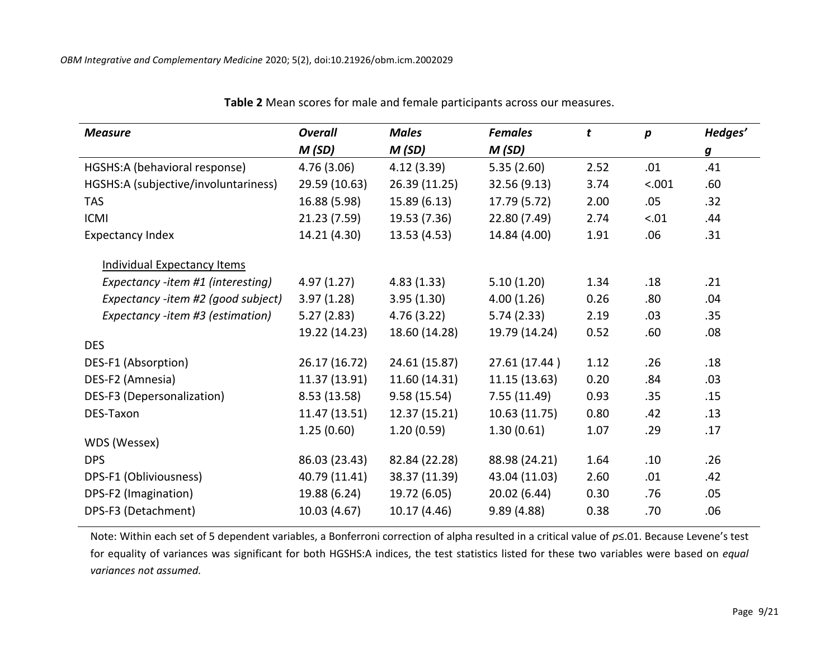| <b>Measure</b>                       | <b>Overall</b> | <b>Males</b>  | <b>Females</b> | $\mathbf{t}$ | p      | Hedges'          |  |
|--------------------------------------|----------------|---------------|----------------|--------------|--------|------------------|--|
|                                      | M (SD)         | M(SD)         | M (SD)         |              |        | $\boldsymbol{g}$ |  |
| HGSHS:A (behavioral response)        | 4.76(3.06)     | 4.12(3.39)    | 5.35(2.60)     | 2.52         | .01    | .41              |  |
| HGSHS:A (subjective/involuntariness) | 29.59 (10.63)  | 26.39 (11.25) | 32.56 (9.13)   | 3.74         | < .001 | .60              |  |
| <b>TAS</b>                           | 16.88 (5.98)   | 15.89(6.13)   | 17.79 (5.72)   | 2.00         | .05    | .32              |  |
| <b>ICMI</b>                          | 21.23 (7.59)   | 19.53 (7.36)  | 22.80 (7.49)   | 2.74         | < .01  | .44              |  |
| <b>Expectancy Index</b>              | 14.21 (4.30)   | 13.53 (4.53)  | 14.84 (4.00)   | 1.91         | .06    | .31              |  |
| <b>Individual Expectancy Items</b>   |                |               |                |              |        |                  |  |
| Expectancy -item #1 (interesting)    | 4.97(1.27)     | 4.83(1.33)    | 5.10(1.20)     | 1.34         | .18    | .21              |  |
| Expectancy -item #2 (good subject)   | 3.97(1.28)     | 3.95(1.30)    | 4.00(1.26)     | 0.26         | .80    | .04              |  |
| Expectancy -item #3 (estimation)     | 5.27(2.83)     | 4.76(3.22)    | 5.74(2.33)     | 2.19         | .03    | .35              |  |
|                                      | 19.22 (14.23)  | 18.60 (14.28) | 19.79 (14.24)  | 0.52         | .60    | .08              |  |
| <b>DES</b>                           |                |               |                |              |        |                  |  |
| DES-F1 (Absorption)                  | 26.17 (16.72)  | 24.61 (15.87) | 27.61 (17.44)  | 1.12         | .26    | .18              |  |
| DES-F2 (Amnesia)                     | 11.37 (13.91)  | 11.60 (14.31) | 11.15(13.63)   | 0.20         | .84    | .03              |  |
| DES-F3 (Depersonalization)           | 8.53(13.58)    | 9.58(15.54)   | 7.55(11.49)    | 0.93         | .35    | .15              |  |
| DES-Taxon                            | 11.47 (13.51)  | 12.37 (15.21) | 10.63 (11.75)  | 0.80         | .42    | .13              |  |
|                                      | 1.25(0.60)     | 1.20(0.59)    | 1.30(0.61)     | 1.07         | .29    | .17              |  |
| WDS (Wessex)                         |                |               |                |              |        |                  |  |
| <b>DPS</b>                           | 86.03 (23.43)  | 82.84 (22.28) | 88.98 (24.21)  | 1.64         | .10    | .26              |  |
| DPS-F1 (Obliviousness)               | 40.79 (11.41)  | 38.37 (11.39) | 43.04 (11.03)  | 2.60         | .01    | .42              |  |
| DPS-F2 (Imagination)                 | 19.88 (6.24)   | 19.72 (6.05)  | 20.02 (6.44)   | 0.30         | .76    | .05              |  |
| DPS-F3 (Detachment)                  | 10.03 (4.67)   | 10.17 (4.46)  | 9.89(4.88)     | 0.38         | .70    | .06              |  |

### **Table 2** Mean scores for male and female participants across our measures.

Note: Within each set of 5 dependent variables, a Bonferroni correction of alpha resulted in a critical value of *p*≤.01. Because Levene's test for equality of variances was significant for both HGSHS:A indices, the test statistics listed for these two variables were based on *equal variances not assumed.*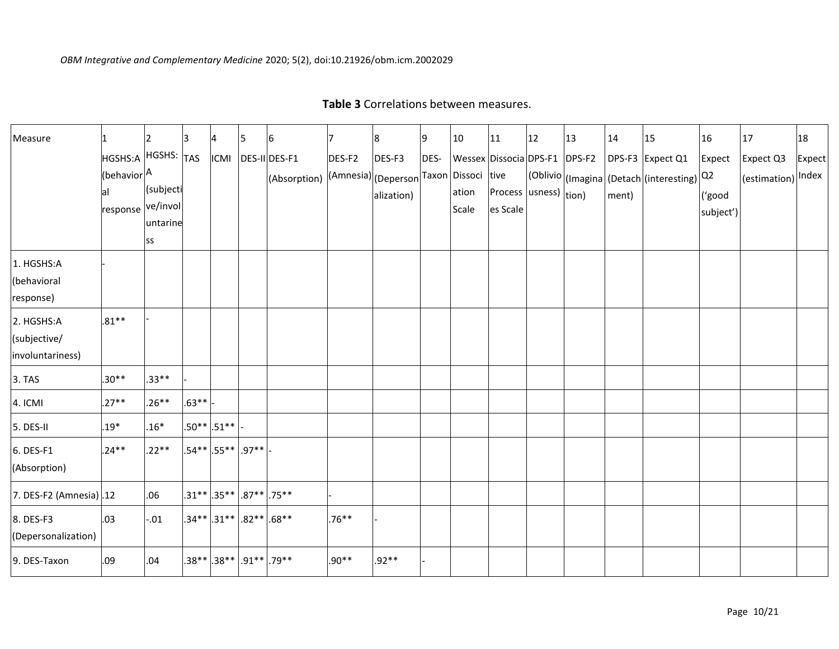| Measure                                        |                                                                    |                             | IЗ      |               | 5                               | 16                                                                   | 17       | 8                    | 9    | 10                                              | 11                                  | 12 | 13 | 14    | 15                                                             | 16                            | 17                              | 18     |
|------------------------------------------------|--------------------------------------------------------------------|-----------------------------|---------|---------------|---------------------------------|----------------------------------------------------------------------|----------|----------------------|------|-------------------------------------------------|-------------------------------------|----|----|-------|----------------------------------------------------------------|-------------------------------|---------------------------------|--------|
|                                                | HGSHS:A HGSHS: TAS<br>(behavior <sup>A</sup><br>response ve/involl | (subjecti<br>untarine<br>SS |         | <b>ICMI</b>   |                                 | DES-II DES-F1<br>(Absorption) (Amnesia) (Deperson Taxon Dissoci tive | DES-F2   | DES-F3<br>alization) | DES- | Wessex Dissocia DPS-F1 DPS-F2<br>ation<br>Scale | Process (usness) (tion)<br>es Scale |    |    | ment) | DPS-F3 Expect Q1<br>(Oblivio)(Imagina (Detach (interesting) 22 | Expect<br>('good<br>subject') | Expect Q3<br>(estimation) Index | Expect |
| 1. HGSHS:A<br>(behavioral<br>response)         |                                                                    |                             |         |               |                                 |                                                                      |          |                      |      |                                                 |                                     |    |    |       |                                                                |                               |                                 |        |
| 2. HGSHS:A<br>(subjective/<br>involuntariness) | $.81**$                                                            |                             |         |               |                                 |                                                                      |          |                      |      |                                                 |                                     |    |    |       |                                                                |                               |                                 |        |
| 3. TAS                                         | $.30**$                                                            | $.33**$                     |         |               |                                 |                                                                      |          |                      |      |                                                 |                                     |    |    |       |                                                                |                               |                                 |        |
| 4. ICMI                                        | $.27**$                                                            | $.26**$                     | $.63**$ |               |                                 |                                                                      |          |                      |      |                                                 |                                     |    |    |       |                                                                |                               |                                 |        |
| 5. DES-II                                      | $.19*$                                                             | $.16*$                      |         | $.50**$ .51** |                                 |                                                                      |          |                      |      |                                                 |                                     |    |    |       |                                                                |                               |                                 |        |
| 6. DES-F1<br>(Absorption)                      | $.24**$                                                            | $.22**$                     |         |               | .54** .55** .97**               |                                                                      |          |                      |      |                                                 |                                     |    |    |       |                                                                |                               |                                 |        |
| 7. DES-F2 (Amnesia).12                         |                                                                    | .06                         |         |               | $.31**$ .35** .87** .75**       |                                                                      |          |                      |      |                                                 |                                     |    |    |       |                                                                |                               |                                 |        |
| 8. DES-F3<br>(Depersonalization)               | .03                                                                | $-0.01$                     |         |               | $.34**$ .31** .82** .68**       |                                                                      | $.76***$ |                      |      |                                                 |                                     |    |    |       |                                                                |                               |                                 |        |
| 9. DES-Taxon                                   | .09                                                                | .04                         |         |               | $.38**$ $.38**$ $.91**$ $.79**$ |                                                                      | $.90**$  | $.92**$              |      |                                                 |                                     |    |    |       |                                                                |                               |                                 |        |

# **Table 3** Correlations between measures.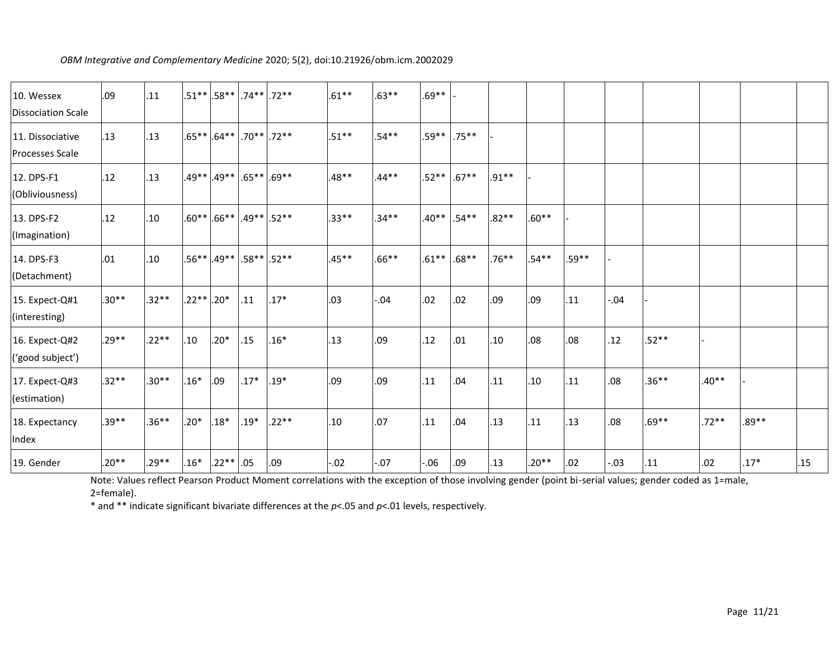| 10. Wessex<br>Dissociation Scale           | .09     | .11      |              | $.51**$ .58**74**72**    |        |                | $.61***$ | $.63**$ | $.69**$  |          |         |         |       |         |         |         |         |     |
|--------------------------------------------|---------|----------|--------------|--------------------------|--------|----------------|----------|---------|----------|----------|---------|---------|-------|---------|---------|---------|---------|-----|
| 11. Dissociative<br><b>Processes Scale</b> | .13     | .13      |              | $.65***$ .64**           |        | $.70***$ .72** | $.51***$ | $.54**$ | $.59**$  | $.75***$ |         |         |       |         |         |         |         |     |
| 12. DPS-F1<br>(Obliviousness)              | .12     | .13      | $.49**$      | $.49**$                  |        | $.65***$ .69** | $.48**$  | $.44**$ | $.52**$  | $.67***$ | $.91**$ |         |       |         |         |         |         |     |
| 13. DPS-F2<br>(Imagination)                | .12     | .10      | $.60**$      | $.66***$ $.49**$ $.52**$ |        |                | $.33***$ | $.34**$ | $.40**$  | $.54**$  | $.82**$ | $.60**$ |       |         |         |         |         |     |
| 14. DPS-F3<br>(Detachment)                 | .01     | .10      | $.56***$     | $.49**$                  |        | $.58**$ .52**  | $.45**$  | $.66**$ | $.61***$ | $.68**$  | $.76**$ | $.54**$ | .59** |         |         |         |         |     |
| 15. Expect-Q#1<br>(interesting)            | $.30**$ | $.32**$  | $.22**$ .20* |                          | .11    | $.17*$         | .03      | $-0.04$ | .02      | .02      | .09     | .09     | .11   | $-0.04$ |         |         |         |     |
| 16. Expect-Q#2<br>('good subject')         | $.29**$ | $.22**$  | .10          | $.20*$                   | .15    | $.16*$         | .13      | .09     | .12      | .01      | .10     | .08     | .08   | .12     | $.52**$ |         |         |     |
| 17. Expect-Q#3<br>(estimation)             | $.32**$ | $.30**$  | $.16*$       | .09                      | $.17*$ | $.19*$         | .09      | .09     | .11      | .04      | .11     | .10     | .11   | .08     | $.36**$ | $.40**$ |         |     |
| 18. Expectancy<br>Index                    | $.39**$ | $.36***$ | $.20*$       | $.18*$                   | $.19*$ | $.22**$        | .10      | .07     | .11      | .04      | .13     | .11     | .13   | .08     | $.69**$ | $.72**$ | $.89**$ |     |
| 19. Gender                                 | $.20**$ | $.29***$ | $.16*$       | $.22**$ .05              |        | .09            | $-0.02$  | $-0.07$ | -.06     | .09      | .13     | $.20**$ | .02   | $-0.03$ | .11     | .02     | $.17*$  | .15 |

#### *OBM Integrative and Complementary Medicine* 2020; 5(2), doi:10.21926/obm.icm.2002029

Note: Values reflect Pearson Product Moment correlations with the exception of those involving gender (point bi-serial values; gender coded as 1=male, 2=female).

\* and \*\* indicate significant bivariate differences at the *p*<.05 and *p*<.01 levels, respectively.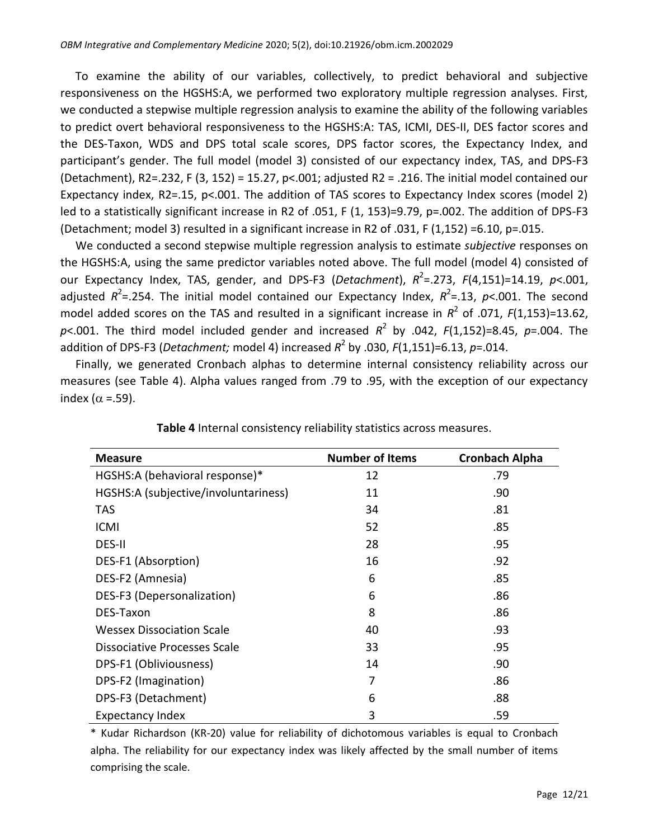To examine the ability of our variables, collectively, to predict behavioral and subjective responsiveness on the HGSHS:A, we performed two exploratory multiple regression analyses. First, we conducted a stepwise multiple regression analysis to examine the ability of the following variables to predict overt behavioral responsiveness to the HGSHS:A: TAS, ICMI, DES-II, DES factor scores and the DES-Taxon, WDS and DPS total scale scores, DPS factor scores, the Expectancy Index, and participant's gender. The full model (model 3) consisted of our expectancy index, TAS, and DPS-F3 (Detachment), R2=.232, F (3, 152) = 15.27, p<.001; adjusted R2 = .216. The initial model contained our Expectancy index, R2=.15, p<.001. The addition of TAS scores to Expectancy Index scores (model 2) led to a statistically significant increase in R2 of .051, F (1, 153)=9.79, p=.002. The addition of DPS-F3 (Detachment; model 3) resulted in a significant increase in R2 of .031, F (1,152) =6.10, p=.015.

We conducted a second stepwise multiple regression analysis to estimate *subjective* responses on the HGSHS:A, using the same predictor variables noted above. The full model (model 4) consisted of our Expectancy Index, TAS, gender, and DPS-F3 (Detachment),  $R^2$ =.273,  $F(4,151)$ =14.19,  $p$ <.001, adjusted  $R^2$ =.254. The initial model contained our Expectancy Index,  $R^2$ =.13, p<.001. The second model added scores on the TAS and resulted in a significant increase in  $R^2$  of .071, *F*(1,153)=13.62, *p*<.001. The third model included gender and increased *R* 2 by .042, *F*(1,152)=8.45, *p*=.004. The addition of DPS-F3 (*Detachment;* model 4) increased *R* 2 by .030, *F*(1,151)=6.13, *p*=.014.

Finally, we generated Cronbach alphas to determine internal consistency reliability across our measures (see Table 4). Alpha values ranged from .79 to .95, with the exception of our expectancy index ( $\alpha$  =.59).

| <b>Measure</b>                       | <b>Number of Items</b> | <b>Cronbach Alpha</b> |
|--------------------------------------|------------------------|-----------------------|
| HGSHS:A (behavioral response)*       | 12                     | .79                   |
| HGSHS:A (subjective/involuntariness) | 11                     | .90                   |
| TAS                                  | 34                     | .81                   |
| <b>ICMI</b>                          | 52                     | .85                   |
| DES-II                               | 28                     | .95                   |
| DES-F1 (Absorption)                  | 16                     | .92                   |
| DES-F2 (Amnesia)                     | 6                      | .85                   |
| DES-F3 (Depersonalization)           | 6                      | .86                   |
| DES-Taxon                            | 8                      | .86                   |
| <b>Wessex Dissociation Scale</b>     | 40                     | .93                   |
| Dissociative Processes Scale         | 33                     | .95                   |
| DPS-F1 (Obliviousness)               | 14                     | .90                   |
| DPS-F2 (Imagination)                 | 7                      | .86                   |
| DPS-F3 (Detachment)                  | 6                      | .88                   |
| <b>Expectancy Index</b>              | 3                      | .59                   |

**Table 4** Internal consistency reliability statistics across measures.

\* Kudar Richardson (KR-20) value for reliability of dichotomous variables is equal to Cronbach alpha. The reliability for our expectancy index was likely affected by the small number of items comprising the scale.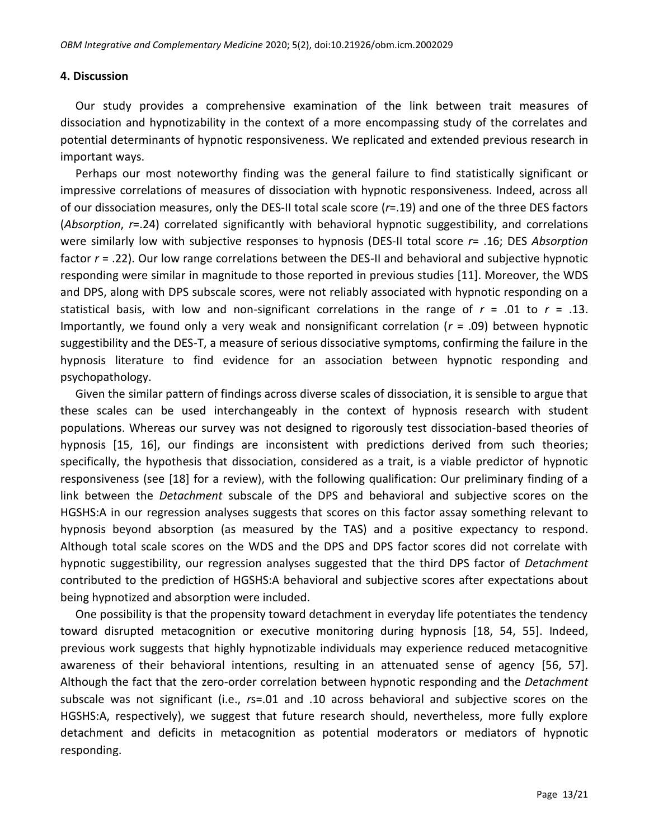### **4. Discussion**

Our study provides a comprehensive examination of the link between trait measures of dissociation and hypnotizability in the context of a more encompassing study of the correlates and potential determinants of hypnotic responsiveness. We replicated and extended previous research in important ways.

Perhaps our most noteworthy finding was the general failure to find statistically significant or impressive correlations of measures of dissociation with hypnotic responsiveness. Indeed, across all of our dissociation measures, only the DES-II total scale score (*r*=.19) and one of the three DES factors (*Absorption*, *r*=.24) correlated significantly with behavioral hypnotic suggestibility, and correlations were similarly low with subjective responses to hypnosis (DES-II total score *r*= .16; DES *Absorption* factor *r* = .22). Our low range correlations between the DES-II and behavioral and subjective hypnotic responding were similar in magnitude to those reported in previous studies [11]. Moreover, the WDS and DPS, along with DPS subscale scores, were not reliably associated with hypnotic responding on a statistical basis, with low and non-significant correlations in the range of  $r = .01$  to  $r = .13$ . Importantly, we found only a very weak and nonsignificant correlation (*r* = .09) between hypnotic suggestibility and the DES-T, a measure of serious dissociative symptoms, confirming the failure in the hypnosis literature to find evidence for an association between hypnotic responding and psychopathology.

Given the similar pattern of findings across diverse scales of dissociation, it is sensible to argue that these scales can be used interchangeably in the context of hypnosis research with student populations. Whereas our survey was not designed to rigorously test dissociation-based theories of hypnosis [15, 16], our findings are inconsistent with predictions derived from such theories; specifically, the hypothesis that dissociation, considered as a trait, is a viable predictor of hypnotic responsiveness (see [18] for a review), with the following qualification: Our preliminary finding of a link between the *Detachment* subscale of the DPS and behavioral and subjective scores on the HGSHS:A in our regression analyses suggests that scores on this factor assay something relevant to hypnosis beyond absorption (as measured by the TAS) and a positive expectancy to respond. Although total scale scores on the WDS and the DPS and DPS factor scores did not correlate with hypnotic suggestibility, our regression analyses suggested that the third DPS factor of *Detachment* contributed to the prediction of HGSHS:A behavioral and subjective scores after expectations about being hypnotized and absorption were included.

One possibility is that the propensity toward detachment in everyday life potentiates the tendency toward disrupted metacognition or executive monitoring during hypnosis [18, 54, 55]. Indeed, previous work suggests that highly hypnotizable individuals may experience reduced metacognitive awareness of their behavioral intentions, resulting in an attenuated sense of agency [56, 57]. Although the fact that the zero-order correlation between hypnotic responding and the *Detachment* subscale was not significant (i.e., *r*s=.01 and .10 across behavioral and subjective scores on the HGSHS:A, respectively), we suggest that future research should, nevertheless, more fully explore detachment and deficits in metacognition as potential moderators or mediators of hypnotic responding.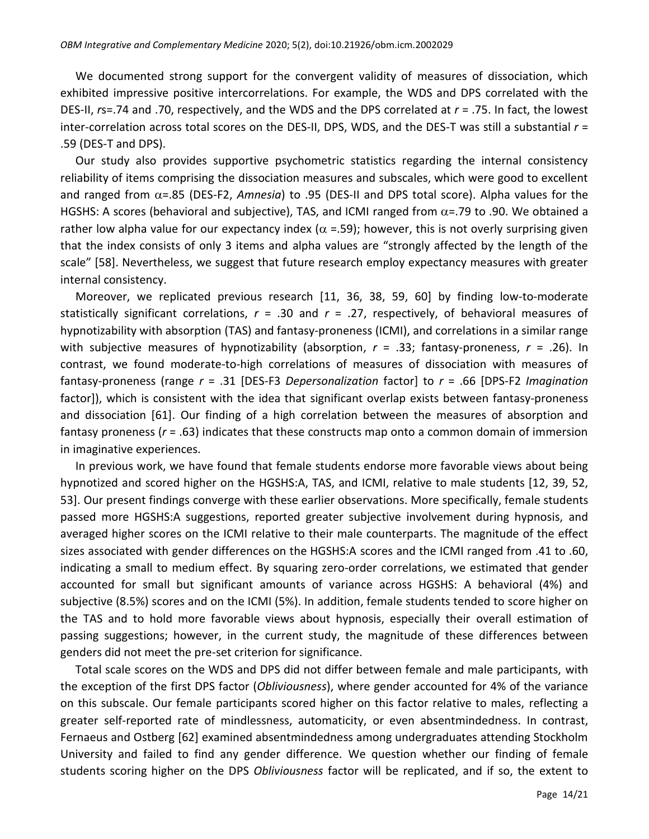We documented strong support for the convergent validity of measures of dissociation, which exhibited impressive positive intercorrelations. For example, the WDS and DPS correlated with the DES-II, *r*s=.74 and .70, respectively, and the WDS and the DPS correlated at *r* = .75. In fact, the lowest inter-correlation across total scores on the DES-II, DPS, WDS, and the DES-T was still a substantial *r* = .59 (DES-T and DPS).

Our study also provides supportive psychometric statistics regarding the internal consistency reliability of items comprising the dissociation measures and subscales, which were good to excellent and ranged from  $\alpha$ =.85 (DES-F2, *Amnesia*) to .95 (DES-II and DPS total score). Alpha values for the HGSHS: A scores (behavioral and subjective), TAS, and ICMI ranged from  $\alpha$ =.79 to .90. We obtained a rather low alpha value for our expectancy index ( $\alpha$  =.59); however, this is not overly surprising given that the index consists of only 3 items and alpha values are "strongly affected by the length of the scale" [58]. Nevertheless, we suggest that future research employ expectancy measures with greater internal consistency.

Moreover, we replicated previous research [11, 36, 38, 59, 60] by finding low-to-moderate statistically significant correlations,  $r = .30$  and  $r = .27$ , respectively, of behavioral measures of hypnotizability with absorption (TAS) and fantasy-proneness (ICMI), and correlations in a similar range with subjective measures of hypnotizability (absorption, *r* = .33; fantasy-proneness, *r* = .26). In contrast, we found moderate-to-high correlations of measures of dissociation with measures of fantasy-proneness (range *r* = .31 [DES-F3 *Depersonalization* factor] to *r* = .66 [DPS-F2 *Imagination* factor]), which is consistent with the idea that significant overlap exists between fantasy-proneness and dissociation [61]. Our finding of a high correlation between the measures of absorption and fantasy proneness (*r* = .63) indicates that these constructs map onto a common domain of immersion in imaginative experiences.

In previous work, we have found that female students endorse more favorable views about being hypnotized and scored higher on the HGSHS:A, TAS, and ICMI, relative to male students [12, 39, 52, 53]. Our present findings converge with these earlier observations. More specifically, female students passed more HGSHS:A suggestions, reported greater subjective involvement during hypnosis, and averaged higher scores on the ICMI relative to their male counterparts. The magnitude of the effect sizes associated with gender differences on the HGSHS:A scores and the ICMI ranged from .41 to .60, indicating a small to medium effect. By squaring zero-order correlations, we estimated that gender accounted for small but significant amounts of variance across HGSHS: A behavioral (4%) and subjective (8.5%) scores and on the ICMI (5%). In addition, female students tended to score higher on the TAS and to hold more favorable views about hypnosis, especially their overall estimation of passing suggestions; however, in the current study, the magnitude of these differences between genders did not meet the pre-set criterion for significance.

Total scale scores on the WDS and DPS did not differ between female and male participants, with the exception of the first DPS factor (*Obliviousness*), where gender accounted for 4% of the variance on this subscale. Our female participants scored higher on this factor relative to males, reflecting a greater self-reported rate of mindlessness, automaticity, or even absentmindedness. In contrast, Fernaeus and Ostberg [62] examined absentmindedness among undergraduates attending Stockholm University and failed to find any gender difference. We question whether our finding of female students scoring higher on the DPS *Obliviousness* factor will be replicated, and if so, the extent to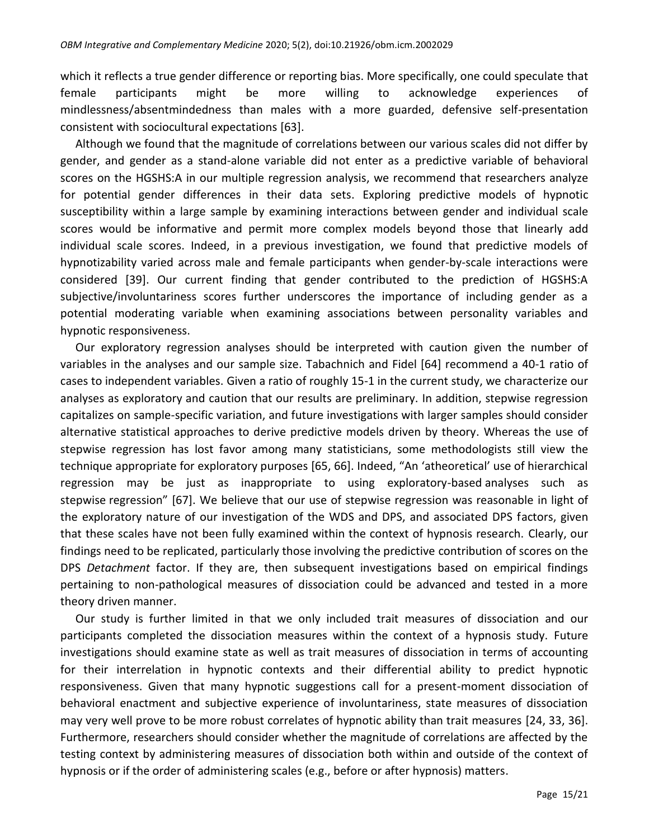which it reflects a true gender difference or reporting bias. More specifically, one could speculate that female participants might be more willing to acknowledge experiences of mindlessness/absentmindedness than males with a more guarded, defensive self-presentation consistent with sociocultural expectations [63].

Although we found that the magnitude of correlations between our various scales did not differ by gender, and gender as a stand-alone variable did not enter as a predictive variable of behavioral scores on the HGSHS:A in our multiple regression analysis, we recommend that researchers analyze for potential gender differences in their data sets. Exploring predictive models of hypnotic susceptibility within a large sample by examining interactions between gender and individual scale scores would be informative and permit more complex models beyond those that linearly add individual scale scores. Indeed, in a previous investigation, we found that predictive models of hypnotizability varied across male and female participants when gender-by-scale interactions were considered [39]. Our current finding that gender contributed to the prediction of HGSHS:A subjective/involuntariness scores further underscores the importance of including gender as a potential moderating variable when examining associations between personality variables and hypnotic responsiveness.

Our exploratory regression analyses should be interpreted with caution given the number of variables in the analyses and our sample size. Tabachnich and Fidel [64] recommend a 40-1 ratio of cases to independent variables. Given a ratio of roughly 15-1 in the current study, we characterize our analyses as exploratory and caution that our results are preliminary. In addition, stepwise regression capitalizes on sample-specific variation, and future investigations with larger samples should consider alternative statistical approaches to derive predictive models driven by theory. Whereas the use of stepwise regression has lost favor among many statisticians, some methodologists still view the technique appropriate for exploratory purposes [65, 66]. Indeed, "An 'atheoretical' use of hierarchical regression may be just as inappropriate to using exploratory-based analyses such as stepwise regression" [67]. We believe that our use of stepwise regression was reasonable in light of the exploratory nature of our investigation of the WDS and DPS, and associated DPS factors, given that these scales have not been fully examined within the context of hypnosis research. Clearly, our findings need to be replicated, particularly those involving the predictive contribution of scores on the DPS *Detachment* factor. If they are, then subsequent investigations based on empirical findings pertaining to non-pathological measures of dissociation could be advanced and tested in a more theory driven manner.

Our study is further limited in that we only included trait measures of dissociation and our participants completed the dissociation measures within the context of a hypnosis study. Future investigations should examine state as well as trait measures of dissociation in terms of accounting for their interrelation in hypnotic contexts and their differential ability to predict hypnotic responsiveness. Given that many hypnotic suggestions call for a present-moment dissociation of behavioral enactment and subjective experience of involuntariness, state measures of dissociation may very well prove to be more robust correlates of hypnotic ability than trait measures [24, 33, 36]. Furthermore, researchers should consider whether the magnitude of correlations are affected by the testing context by administering measures of dissociation both within and outside of the context of hypnosis or if the order of administering scales (e.g., before or after hypnosis) matters.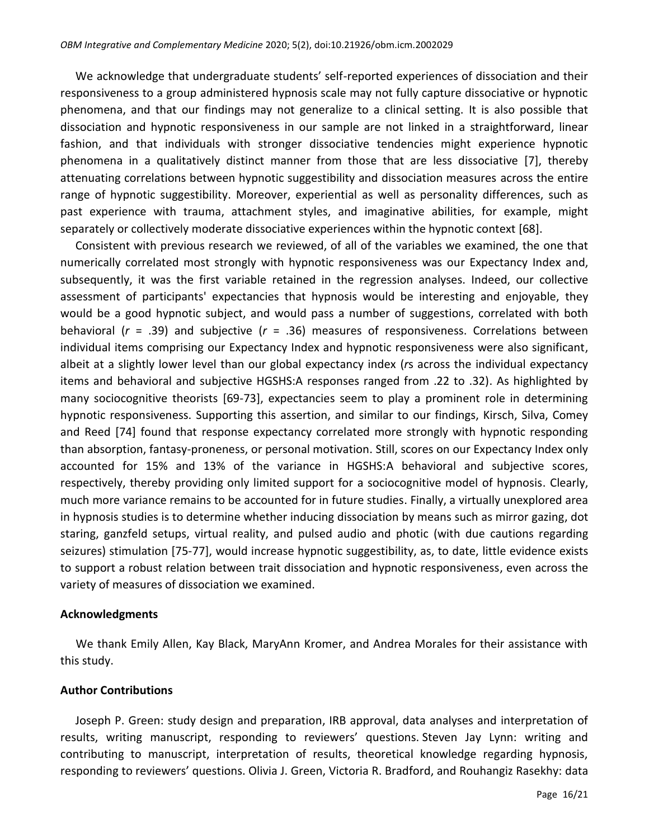We acknowledge that undergraduate students' self-reported experiences of dissociation and their responsiveness to a group administered hypnosis scale may not fully capture dissociative or hypnotic phenomena, and that our findings may not generalize to a clinical setting. It is also possible that dissociation and hypnotic responsiveness in our sample are not linked in a straightforward, linear fashion, and that individuals with stronger dissociative tendencies might experience hypnotic phenomena in a qualitatively distinct manner from those that are less dissociative [7], thereby attenuating correlations between hypnotic suggestibility and dissociation measures across the entire range of hypnotic suggestibility. Moreover, experiential as well as personality differences, such as past experience with trauma, attachment styles, and imaginative abilities, for example, might separately or collectively moderate dissociative experiences within the hypnotic context [68].

Consistent with previous research we reviewed, of all of the variables we examined, the one that numerically correlated most strongly with hypnotic responsiveness was our Expectancy Index and, subsequently, it was the first variable retained in the regression analyses. Indeed, our collective assessment of participants' expectancies that hypnosis would be interesting and enjoyable, they would be a good hypnotic subject, and would pass a number of suggestions, correlated with both behavioral (*r* = .39) and subjective (*r* = .36) measures of responsiveness. Correlations between individual items comprising our Expectancy Index and hypnotic responsiveness were also significant, albeit at a slightly lower level than our global expectancy index (*r*s across the individual expectancy items and behavioral and subjective HGSHS:A responses ranged from .22 to .32). As highlighted by many sociocognitive theorists [69-73], expectancies seem to play a prominent role in determining hypnotic responsiveness. Supporting this assertion, and similar to our findings, Kirsch, Silva, Comey and Reed [74] found that response expectancy correlated more strongly with hypnotic responding than absorption, fantasy-proneness, or personal motivation. Still, scores on our Expectancy Index only accounted for 15% and 13% of the variance in HGSHS:A behavioral and subjective scores, respectively, thereby providing only limited support for a sociocognitive model of hypnosis. Clearly, much more variance remains to be accounted for in future studies. Finally, a virtually unexplored area in hypnosis studies is to determine whether inducing dissociation by means such as mirror gazing, dot staring, ganzfeld setups, virtual reality, and pulsed audio and photic (with due cautions regarding seizures) stimulation [75-77], would increase hypnotic suggestibility, as, to date, little evidence exists to support a robust relation between trait dissociation and hypnotic responsiveness, even across the variety of measures of dissociation we examined.

#### **Acknowledgments**

We thank Emily Allen, Kay Black, MaryAnn Kromer, and Andrea Morales for their assistance with this study.

# **Author Contributions**

Joseph P. Green: study design and preparation, IRB approval, data analyses and interpretation of results, writing manuscript, responding to reviewers' questions. Steven Jay Lynn: writing and contributing to manuscript, interpretation of results, theoretical knowledge regarding hypnosis, responding to reviewers' questions. Olivia J. Green, Victoria R. Bradford, and Rouhangiz Rasekhy: data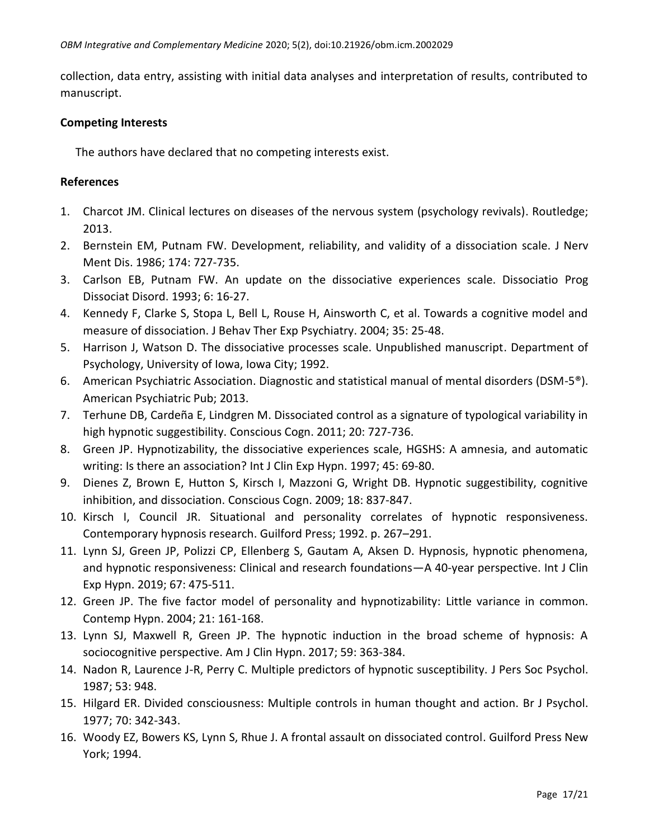collection, data entry, assisting with initial data analyses and interpretation of results, contributed to manuscript.

# **Competing Interests**

The authors have declared that no competing interests exist.

### **References**

- 1. Charcot JM. Clinical lectures on diseases of the nervous system (psychology revivals). Routledge; 2013.
- 2. Bernstein EM, Putnam FW. Development, reliability, and validity of a dissociation scale. J Nerv Ment Dis. 1986; 174: 727-735.
- 3. Carlson EB, Putnam FW. An update on the dissociative experiences scale. Dissociatio Prog Dissociat Disord. 1993; 6: 16-27.
- 4. Kennedy F, Clarke S, Stopa L, Bell L, Rouse H, Ainsworth C, et al. Towards a cognitive model and measure of dissociation. J Behav Ther Exp Psychiatry. 2004; 35: 25-48.
- 5. Harrison J, Watson D. The dissociative processes scale. Unpublished manuscript. Department of Psychology, University of Iowa, Iowa City; 1992.
- 6. American Psychiatric Association. Diagnostic and statistical manual of mental disorders (DSM-5®). American Psychiatric Pub; 2013.
- 7. Terhune DB, Cardeña E, Lindgren M. Dissociated control as a signature of typological variability in high hypnotic suggestibility. Conscious Cogn. 2011; 20: 727-736.
- 8. Green JP. Hypnotizability, the dissociative experiences scale, HGSHS: A amnesia, and automatic writing: Is there an association? Int J Clin Exp Hypn. 1997; 45: 69-80.
- 9. Dienes Z, Brown E, Hutton S, Kirsch I, Mazzoni G, Wright DB. Hypnotic suggestibility, cognitive inhibition, and dissociation. Conscious Cogn. 2009; 18: 837-847.
- 10. Kirsch I, Council JR. Situational and personality correlates of hypnotic responsiveness. Contemporary hypnosis research. Guilford Press; 1992. p. 267–291.
- 11. Lynn SJ, Green JP, Polizzi CP, Ellenberg S, Gautam A, Aksen D. Hypnosis, hypnotic phenomena, and hypnotic responsiveness: Clinical and research foundations—A 40-year perspective. Int J Clin Exp Hypn. 2019; 67: 475-511.
- 12. Green JP. The five factor model of personality and hypnotizability: Little variance in common. Contemp Hypn. 2004; 21: 161-168.
- 13. Lynn SJ, Maxwell R, Green JP. The hypnotic induction in the broad scheme of hypnosis: A sociocognitive perspective. Am J Clin Hypn. 2017; 59: 363-384.
- 14. Nadon R, Laurence J-R, Perry C. Multiple predictors of hypnotic susceptibility. J Pers Soc Psychol. 1987; 53: 948.
- 15. Hilgard ER. Divided consciousness: Multiple controls in human thought and action. Br J Psychol. 1977; 70: 342-343.
- 16. Woody EZ, Bowers KS, Lynn S, Rhue J. A frontal assault on dissociated control. Guilford Press New York; 1994.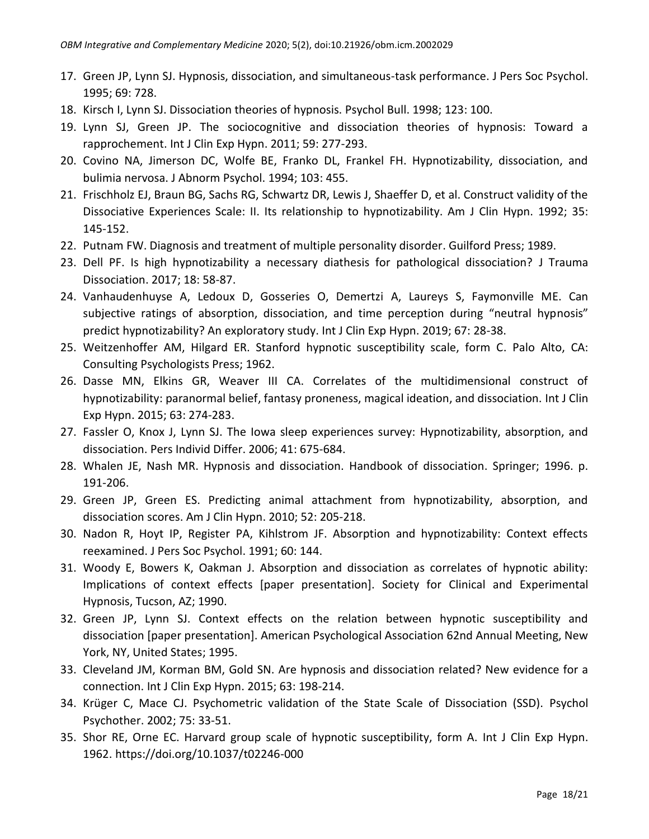- 17. Green JP, Lynn SJ. Hypnosis, dissociation, and simultaneous-task performance. J Pers Soc Psychol. 1995; 69: 728.
- 18. Kirsch I, Lynn SJ. Dissociation theories of hypnosis. Psychol Bull. 1998; 123: 100.
- 19. Lynn SJ, Green JP. The sociocognitive and dissociation theories of hypnosis: Toward a rapprochement. Int J Clin Exp Hypn. 2011; 59: 277-293.
- 20. Covino NA, Jimerson DC, Wolfe BE, Franko DL, Frankel FH. Hypnotizability, dissociation, and bulimia nervosa. J Abnorm Psychol. 1994; 103: 455.
- 21. Frischholz EJ, Braun BG, Sachs RG, Schwartz DR, Lewis J, Shaeffer D, et al. Construct validity of the Dissociative Experiences Scale: II. Its relationship to hypnotizability. Am J Clin Hypn. 1992; 35: 145-152.
- 22. Putnam FW. Diagnosis and treatment of multiple personality disorder. Guilford Press; 1989.
- 23. Dell PF. Is high hypnotizability a necessary diathesis for pathological dissociation? J Trauma Dissociation. 2017; 18: 58-87.
- 24. Vanhaudenhuyse A, Ledoux D, Gosseries O, Demertzi A, Laureys S, Faymonville ME. Can subjective ratings of absorption, dissociation, and time perception during "neutral hypnosis" predict hypnotizability? An exploratory study. Int J Clin Exp Hypn. 2019; 67: 28-38.
- 25. Weitzenhoffer AM, Hilgard ER. Stanford hypnotic susceptibility scale, form C. Palo Alto, CA: Consulting Psychologists Press; 1962.
- 26. Dasse MN, Elkins GR, Weaver III CA. Correlates of the multidimensional construct of hypnotizability: paranormal belief, fantasy proneness, magical ideation, and dissociation. Int J Clin Exp Hypn. 2015; 63: 274-283.
- 27. Fassler O, Knox J, Lynn SJ. The Iowa sleep experiences survey: Hypnotizability, absorption, and dissociation. Pers Individ Differ. 2006; 41: 675-684.
- 28. Whalen JE, Nash MR. Hypnosis and dissociation. Handbook of dissociation. Springer; 1996. p. 191-206.
- 29. Green JP, Green ES. Predicting animal attachment from hypnotizability, absorption, and dissociation scores. Am J Clin Hypn. 2010; 52: 205-218.
- 30. Nadon R, Hoyt IP, Register PA, Kihlstrom JF. Absorption and hypnotizability: Context effects reexamined. J Pers Soc Psychol. 1991; 60: 144.
- 31. Woody E, Bowers K, Oakman J. Absorption and dissociation as correlates of hypnotic ability: Implications of context effects [paper presentation]. Society for Clinical and Experimental Hypnosis, Tucson, AZ; 1990.
- 32. Green JP, Lynn SJ. Context effects on the relation between hypnotic susceptibility and dissociation [paper presentation]. American Psychological Association 62nd Annual Meeting, New York, NY, United States; 1995.
- 33. Cleveland JM, Korman BM, Gold SN. Are hypnosis and dissociation related? New evidence for a connection. Int J Clin Exp Hypn. 2015; 63: 198-214.
- 34. Krüger C, Mace CJ. Psychometric validation of the State Scale of Dissociation (SSD). Psychol Psychother. 2002; 75: 33-51.
- 35. Shor RE, Orne EC. Harvard group scale of hypnotic susceptibility, form A. Int J Clin Exp Hypn. 1962. https://doi.org/10.1037/t02246-000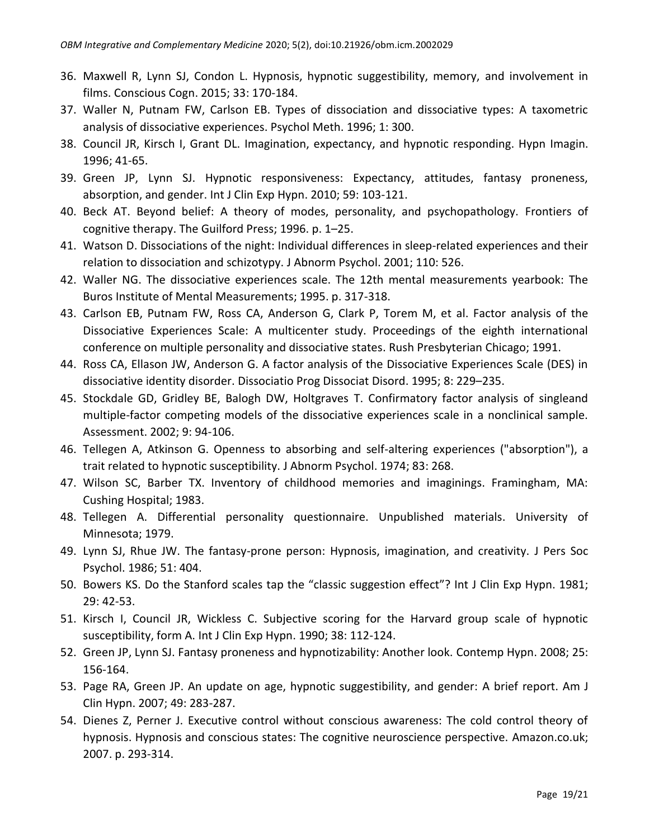- 36. Maxwell R, Lynn SJ, Condon L. Hypnosis, hypnotic suggestibility, memory, and involvement in films. Conscious Cogn. 2015; 33: 170-184.
- 37. Waller N, Putnam FW, Carlson EB. Types of dissociation and dissociative types: A taxometric analysis of dissociative experiences. Psychol Meth. 1996; 1: 300.
- 38. Council JR, Kirsch I, Grant DL. Imagination, expectancy, and hypnotic responding. Hypn Imagin. 1996; 41-65.
- 39. Green JP, Lynn SJ. Hypnotic responsiveness: Expectancy, attitudes, fantasy proneness, absorption, and gender. Int J Clin Exp Hypn. 2010; 59: 103-121.
- 40. Beck AT. Beyond belief: A theory of modes, personality, and psychopathology. Frontiers of cognitive therapy. The Guilford Press; 1996. p. 1–25.
- 41. Watson D. Dissociations of the night: Individual differences in sleep-related experiences and their relation to dissociation and schizotypy. J Abnorm Psychol. 2001; 110: 526.
- 42. Waller NG. The dissociative experiences scale. The 12th mental measurements yearbook: The Buros Institute of Mental Measurements; 1995. p. 317-318.
- 43. Carlson EB, Putnam FW, Ross CA, Anderson G, Clark P, Torem M, et al. Factor analysis of the Dissociative Experiences Scale: A multicenter study. Proceedings of the eighth international conference on multiple personality and dissociative states. Rush Presbyterian Chicago; 1991.
- 44. Ross CA, Ellason JW, Anderson G. A factor analysis of the Dissociative Experiences Scale (DES) in dissociative identity disorder. Dissociatio Prog Dissociat Disord. 1995; 8: 229–235.
- 45. Stockdale GD, Gridley BE, Balogh DW, Holtgraves T. Confirmatory factor analysis of singleand multiple-factor competing models of the dissociative experiences scale in a nonclinical sample. Assessment. 2002; 9: 94-106.
- 46. Tellegen A, Atkinson G. Openness to absorbing and self-altering experiences ("absorption"), a trait related to hypnotic susceptibility. J Abnorm Psychol. 1974; 83: 268.
- 47. Wilson SC, Barber TX. Inventory of childhood memories and imaginings. Framingham, MA: Cushing Hospital; 1983.
- 48. Tellegen A. Differential personality questionnaire. Unpublished materials. University of Minnesota; 1979.
- 49. Lynn SJ, Rhue JW. The fantasy-prone person: Hypnosis, imagination, and creativity. J Pers Soc Psychol. 1986; 51: 404.
- 50. Bowers KS. Do the Stanford scales tap the "classic suggestion effect"? Int J Clin Exp Hypn. 1981; 29: 42-53.
- 51. Kirsch I, Council JR, Wickless C. Subjective scoring for the Harvard group scale of hypnotic susceptibility, form A. Int J Clin Exp Hypn. 1990; 38: 112-124.
- 52. Green JP, Lynn SJ. Fantasy proneness and hypnotizability: Another look. Contemp Hypn. 2008; 25: 156-164.
- 53. Page RA, Green JP. An update on age, hypnotic suggestibility, and gender: A brief report. Am J Clin Hypn. 2007; 49: 283-287.
- 54. Dienes Z, Perner J. Executive control without conscious awareness: The cold control theory of hypnosis. Hypnosis and conscious states: The cognitive neuroscience perspective. Amazon.co.uk; 2007. p. 293-314.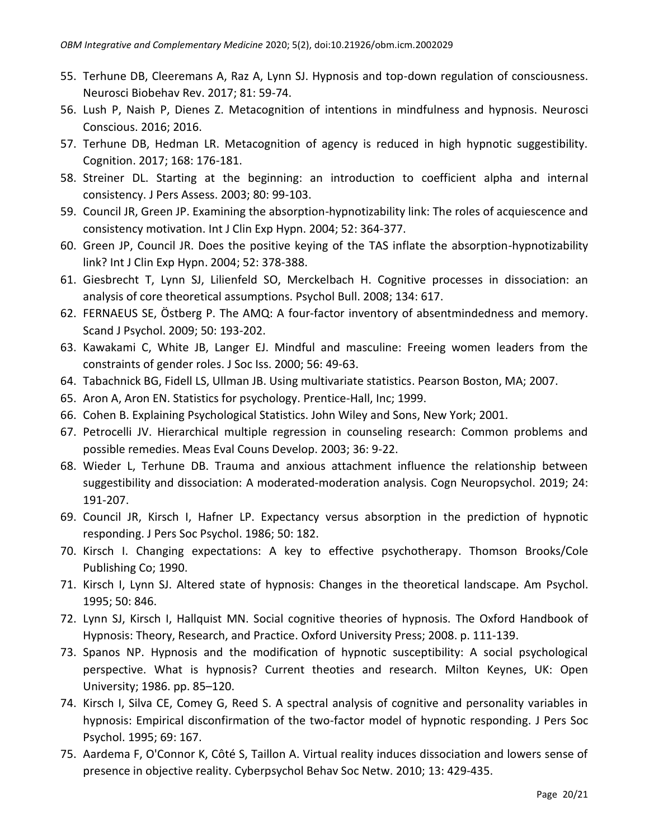- 55. Terhune DB, Cleeremans A, Raz A, Lynn SJ. Hypnosis and top-down regulation of consciousness. Neurosci Biobehav Rev. 2017; 81: 59-74.
- 56. Lush P, Naish P, Dienes Z. Metacognition of intentions in mindfulness and hypnosis. Neurosci Conscious. 2016; 2016.
- 57. Terhune DB, Hedman LR. Metacognition of agency is reduced in high hypnotic suggestibility. Cognition. 2017; 168: 176-181.
- 58. Streiner DL. Starting at the beginning: an introduction to coefficient alpha and internal consistency. J Pers Assess. 2003; 80: 99-103.
- 59. Council JR, Green JP. Examining the absorption-hypnotizability link: The roles of acquiescence and consistency motivation. Int J Clin Exp Hypn. 2004; 52: 364-377.
- 60. Green JP, Council JR. Does the positive keying of the TAS inflate the absorption-hypnotizability link? Int J Clin Exp Hypn. 2004; 52: 378-388.
- 61. Giesbrecht T, Lynn SJ, Lilienfeld SO, Merckelbach H. Cognitive processes in dissociation: an analysis of core theoretical assumptions. Psychol Bull. 2008; 134: 617.
- 62. FERNAEUS SE, Östberg P. The AMQ: A four-factor inventory of absentmindedness and memory. Scand J Psychol. 2009; 50: 193-202.
- 63. Kawakami C, White JB, Langer EJ. Mindful and masculine: Freeing women leaders from the constraints of gender roles. J Soc Iss. 2000; 56: 49-63.
- 64. Tabachnick BG, Fidell LS, Ullman JB. Using multivariate statistics. Pearson Boston, MA; 2007.
- 65. Aron A, Aron EN. Statistics for psychology. Prentice-Hall, Inc; 1999.
- 66. Cohen B. Explaining Psychological Statistics. John Wiley and Sons, New York; 2001.
- 67. Petrocelli JV. Hierarchical multiple regression in counseling research: Common problems and possible remedies. Meas Eval Couns Develop. 2003; 36: 9-22.
- 68. Wieder L, Terhune DB. Trauma and anxious attachment influence the relationship between suggestibility and dissociation: A moderated-moderation analysis. Cogn Neuropsychol. 2019; 24: 191-207.
- 69. Council JR, Kirsch I, Hafner LP. Expectancy versus absorption in the prediction of hypnotic responding. J Pers Soc Psychol. 1986; 50: 182.
- 70. Kirsch I. Changing expectations: A key to effective psychotherapy. Thomson Brooks/Cole Publishing Co; 1990.
- 71. Kirsch I, Lynn SJ. Altered state of hypnosis: Changes in the theoretical landscape. Am Psychol. 1995; 50: 846.
- 72. Lynn SJ, Kirsch I, Hallquist MN. Social cognitive theories of hypnosis. The Oxford Handbook of Hypnosis: Theory, Research, and Practice. Oxford University Press; 2008. p. 111-139.
- 73. Spanos NP. Hypnosis and the modification of hypnotic susceptibility: A social psychological perspective. What is hypnosis? Current theoties and research. Milton Keynes, UK: Open University; 1986. pp. 85–120.
- 74. Kirsch I, Silva CE, Comey G, Reed S. A spectral analysis of cognitive and personality variables in hypnosis: Empirical disconfirmation of the two-factor model of hypnotic responding. J Pers Soc Psychol. 1995; 69: 167.
- 75. Aardema F, O'Connor K, Côté S, Taillon A. Virtual reality induces dissociation and lowers sense of presence in objective reality. Cyberpsychol Behav Soc Netw. 2010; 13: 429-435.